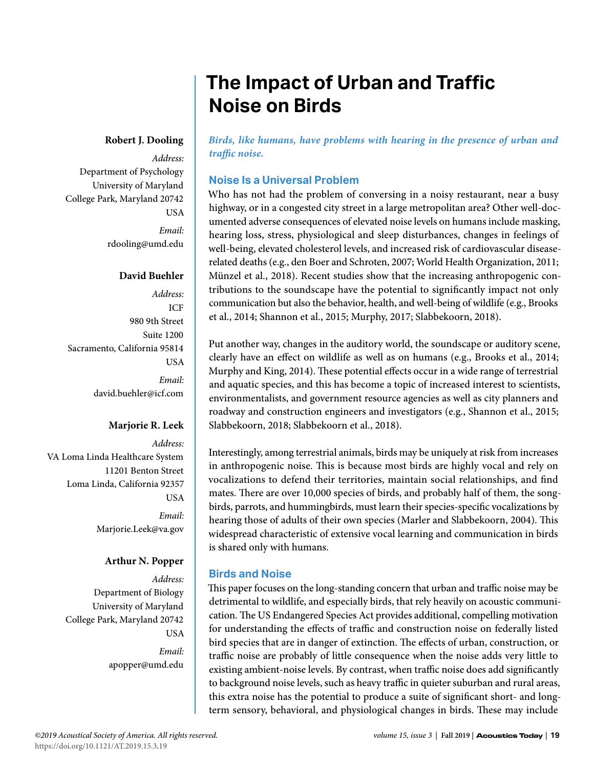# **The Impact of Urban and Traffic Noise on Birds**

#### **Robert J. Dooling**

*Address:* Department of Psychology University of Maryland College Park, Maryland 20742 USA *Email:* rdooling@umd.edu

#### **David Buehler**

*Address:* ICF 980 9th Street Suite 1200 Sacramento, California 95814 **USA** *Email:* david.buehler@icf.com

#### **Marjorie R. Leek**

*Address:* VA Loma Linda Healthcare System 11201 Benton Street Loma Linda, California 92357 USA *Email:* Marjorie.Leek@va.gov

# **Arthur N. Popper**

*Address:* Department of Biology University of Maryland College Park, Maryland 20742 **USA** *Email:* apopper@umd.edu *Birds, like humans, have problems with hearing in the presence of urban and traffic noise.* 

# **Noise Is a Universal Problem**

Who has not had the problem of conversing in a noisy restaurant, near a busy highway, or in a congested city street in a large metropolitan area? Other well-documented adverse consequences of elevated noise levels on humans include masking, hearing loss, stress, physiological and sleep disturbances, changes in feelings of well-being, elevated cholesterol levels, and increased risk of cardiovascular diseaserelated deaths (e.g., den Boer and Schroten, 2007; World Health Organization, 2011; Münzel et al., 2018). Recent studies show that the increasing anthropogenic contributions to the soundscape have the potential to significantly impact not only communication but also the behavior, health, and well-being of wildlife (e.g., Brooks et al., 2014; Shannon et al., 2015; Murphy, 2017; Slabbekoorn, 2018).

Put another way, changes in the auditory world, the soundscape or auditory scene, clearly have an effect on wildlife as well as on humans (e.g., Brooks et al., 2014; Murphy and King, 2014). These potential effects occur in a wide range of terrestrial and aquatic species, and this has become a topic of increased interest to scientists, environmentalists, and government resource agencies as well as city planners and roadway and construction engineers and investigators (e.g., Shannon et al., 2015; Slabbekoorn, 2018; Slabbekoorn et al., 2018).

Interestingly, among terrestrial animals, birds may be uniquely at risk from increases in anthropogenic noise. This is because most birds are highly vocal and rely on vocalizations to defend their territories, maintain social relationships, and find mates. There are over 10,000 species of birds, and probably half of them, the songbirds, parrots, and hummingbirds, must learn their species-specific vocalizations by hearing those of adults of their own species (Marler and Slabbekoorn, 2004). This widespread characteristic of extensive vocal learning and communication in birds is shared only with humans.

# **Birds and Noise**

This paper focuses on the long-standing concern that urban and traffic noise may be detrimental to wildlife, and especially birds, that rely heavily on acoustic communication. The US Endangered Species Act provides additional, compelling motivation for understanding the effects of traffic and construction noise on federally listed bird species that are in danger of extinction. The effects of urban, construction, or traffic noise are probably of little consequence when the noise adds very little to existing ambient-noise levels. By contrast, when traffic noise does add significantly to background noise levels, such as heavy traffic in quieter suburban and rural areas, this extra noise has the potential to produce a suite of significant short- and longterm sensory, behavioral, and physiological changes in birds. These may include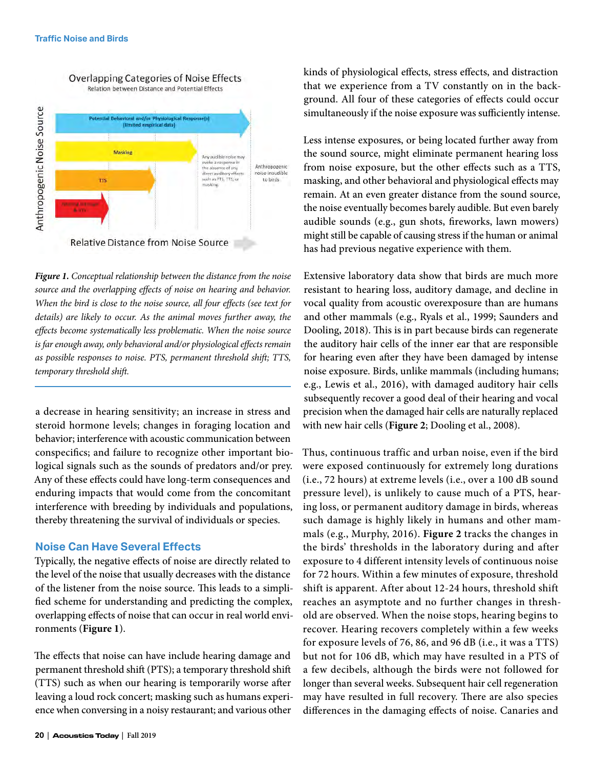

*Figure 1. Conceptual relationship between the distance from the noise source and the overlapping effects of noise on hearing and behavior. When the bird is close to the noise source, all four effects (see text for details) are likely to occur. As the animal moves further away, the effects become systematically less problematic. When the noise source is far enough away, only behavioral and/or physiological effects remain as possible responses to noise. PTS, permanent threshold shift; TTS, temporary threshold shift.*

a decrease in hearing sensitivity; an increase in stress and steroid hormone levels; changes in foraging location and behavior; interference with acoustic communication between conspecifics; and failure to recognize other important biological signals such as the sounds of predators and/or prey. Any of these effects could have long-term consequences and enduring impacts that would come from the concomitant interference with breeding by individuals and populations, thereby threatening the survival of individuals or species.

#### **Noise Can Have Several Effects**

Typically, the negative effects of noise are directly related to the level of the noise that usually decreases with the distance of the listener from the noise source. This leads to a simplified scheme for understanding and predicting the complex, overlapping effects of noise that can occur in real world environments (**Figure 1**).

The effects that noise can have include hearing damage and permanent threshold shift (PTS); a temporary threshold shift (TTS) such as when our hearing is temporarily worse after leaving a loud rock concert; masking such as humans experience when conversing in a noisy restaurant; and various other

kinds of physiological effects, stress effects, and distraction that we experience from a TV constantly on in the background. All four of these categories of effects could occur simultaneously if the noise exposure was sufficiently intense.

Less intense exposures, or being located further away from the sound source, might eliminate permanent hearing loss from noise exposure, but the other effects such as a TTS, masking, and other behavioral and physiological effects may remain. At an even greater distance from the sound source, the noise eventually becomes barely audible. But even barely audible sounds (e.g., gun shots, fireworks, lawn mowers) might still be capable of causing stress if the human or animal has had previous negative experience with them.

Extensive laboratory data show that birds are much more resistant to hearing loss, auditory damage, and decline in vocal quality from acoustic overexposure than are humans and other mammals (e.g., Ryals et al., 1999; Saunders and Dooling, 2018). This is in part because birds can regenerate the auditory hair cells of the inner ear that are responsible for hearing even after they have been damaged by intense noise exposure. Birds, unlike mammals (including humans; e.g., Lewis et al., 2016), with damaged auditory hair cells subsequently recover a good deal of their hearing and vocal precision when the damaged hair cells are naturally replaced with new hair cells (**Figure 2**; Dooling et al., 2008).

Thus, continuous traffic and urban noise, even if the bird were exposed continuously for extremely long durations (i.e., 72 hours) at extreme levels (i.e., over a 100 dB sound pressure level), is unlikely to cause much of a PTS, hearing loss, or permanent auditory damage in birds, whereas such damage is highly likely in humans and other mammals (e.g., Murphy, 2016). **Figure 2** tracks the changes in the birds' thresholds in the laboratory during and after exposure to 4 different intensity levels of continuous noise for 72 hours. Within a few minutes of exposure, threshold shift is apparent. After about 12-24 hours, threshold shift reaches an asymptote and no further changes in threshold are observed. When the noise stops, hearing begins to recover. Hearing recovers completely within a few weeks for exposure levels of 76, 86, and 96 dB (i.e., it was a TTS) but not for 106 dB, which may have resulted in a PTS of a few decibels, although the birds were not followed for longer than several weeks. Subsequent hair cell regeneration may have resulted in full recovery. There are also species differences in the damaging effects of noise. Canaries and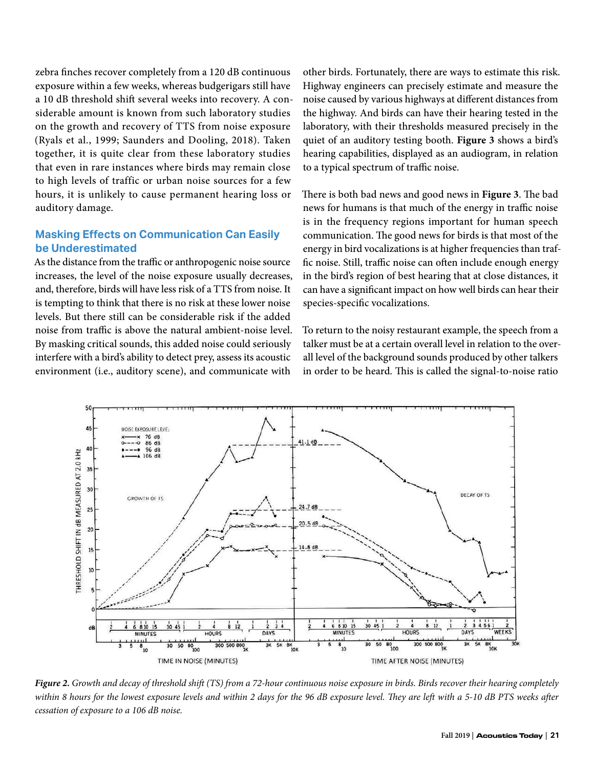zebra finches recover completely from a 120 dB continuous exposure within a few weeks, whereas budgerigars still have a 10 dB threshold shift several weeks into recovery. A considerable amount is known from such laboratory studies on the growth and recovery of TTS from noise exposure (Ryals et al., 1999; Saunders and Dooling, 2018). Taken together, it is quite clear from these laboratory studies that even in rare instances where birds may remain close to high levels of traffic or urban noise sources for a few hours, it is unlikely to cause permanent hearing loss or auditory damage.

# **Masking Effects on Communication Can Easily be Underestimated**

As the distance from the traffic or anthropogenic noise source increases, the level of the noise exposure usually decreases, and, therefore, birds will have less risk of a TTS from noise. It is tempting to think that there is no risk at these lower noise levels. But there still can be considerable risk if the added noise from traffic is above the natural ambient-noise level. By masking critical sounds, this added noise could seriously interfere with a bird's ability to detect prey, assess its acoustic environment (i.e., auditory scene), and communicate with

other birds. Fortunately, there are ways to estimate this risk. Highway engineers can precisely estimate and measure the noise caused by various highways at different distances from the highway. And birds can have their hearing tested in the laboratory, with their thresholds measured precisely in the quiet of an auditory testing booth. **Figure 3** shows a bird's hearing capabilities, displayed as an audiogram, in relation to a typical spectrum of traffic noise.

There is both bad news and good news in **Figure 3**. The bad news for humans is that much of the energy in traffic noise is in the frequency regions important for human speech communication. The good news for birds is that most of the energy in bird vocalizations is at higher frequencies than traffic noise. Still, traffic noise can often include enough energy in the bird's region of best hearing that at close distances, it can have a significant impact on how well birds can hear their species-specific vocalizations.

To return to the noisy restaurant example, the speech from a talker must be at a certain overall level in relation to the overall level of the background sounds produced by other talkers in order to be heard. This is called the signal-to-noise ratio



*Figure 2. Growth and decay of threshold shift (TS) from a 72-hour continuous noise exposure in birds. Birds recover their hearing completely within 8 hours for the lowest exposure levels and within 2 days for the 96 dB exposure level. They are left with a 5-10 dB PTS weeks after cessation of exposure to a 106 dB noise.*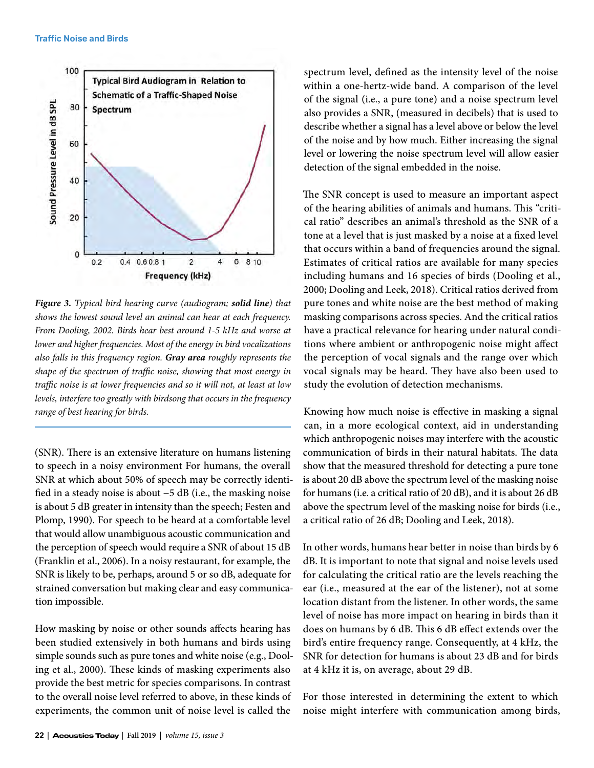

*Figure 3. Typical bird hearing curve (audiogram; solid line) that shows the lowest sound level an animal can hear at each frequency. From Dooling, 2002. Birds hear best around 1-5 kHz and worse at lower and higher frequencies. Most of the energy in bird vocalizations also falls in this frequency region. Gray area roughly represents the shape of the spectrum of traffic noise, showing that most energy in traffic noise is at lower frequencies and so it will not, at least at low levels, interfere too greatly with birdsong that occurs in the frequency range of best hearing for birds.*

(SNR). There is an extensive literature on humans listening to speech in a noisy environment For humans, the overall SNR at which about 50% of speech may be correctly identified in a steady noise is about −5 dB (i.e., the masking noise is about 5 dB greater in intensity than the speech; Festen and Plomp, 1990). For speech to be heard at a comfortable level that would allow unambiguous acoustic communication and the perception of speech would require a SNR of about 15 dB (Franklin et al., 2006). In a noisy restaurant, for example, the SNR is likely to be, perhaps, around 5 or so dB, adequate for strained conversation but making clear and easy communication impossible.

How masking by noise or other sounds affects hearing has been studied extensively in both humans and birds using simple sounds such as pure tones and white noise (e.g., Dooling et al., 2000). These kinds of masking experiments also provide the best metric for species comparisons. In contrast to the overall noise level referred to above, in these kinds of experiments, the common unit of noise level is called the

spectrum level, defined as the intensity level of the noise within a one-hertz-wide band. A comparison of the level of the signal (i.e., a pure tone) and a noise spectrum level also provides a SNR, (measured in decibels) that is used to describe whether a signal has a level above or below the level of the noise and by how much. Either increasing the signal level or lowering the noise spectrum level will allow easier detection of the signal embedded in the noise.

The SNR concept is used to measure an important aspect of the hearing abilities of animals and humans. This "critical ratio" describes an animal's threshold as the SNR of a tone at a level that is just masked by a noise at a fixed level that occurs within a band of frequencies around the signal. Estimates of critical ratios are available for many species including humans and 16 species of birds (Dooling et al., 2000; Dooling and Leek, 2018). Critical ratios derived from pure tones and white noise are the best method of making masking comparisons across species. And the critical ratios have a practical relevance for hearing under natural conditions where ambient or anthropogenic noise might affect the perception of vocal signals and the range over which vocal signals may be heard. They have also been used to study the evolution of detection mechanisms.

Knowing how much noise is effective in masking a signal can, in a more ecological context, aid in understanding which anthropogenic noises may interfere with the acoustic communication of birds in their natural habitats. The data show that the measured threshold for detecting a pure tone is about 20 dB above the spectrum level of the masking noise for humans (i.e. a critical ratio of 20 dB), and it is about 26 dB above the spectrum level of the masking noise for birds (i.e., a critical ratio of 26 dB; Dooling and Leek, 2018).

In other words, humans hear better in noise than birds by 6 dB. It is important to note that signal and noise levels used for calculating the critical ratio are the levels reaching the ear (i.e., measured at the ear of the listener), not at some location distant from the listener. In other words, the same level of noise has more impact on hearing in birds than it does on humans by 6 dB. This 6 dB effect extends over the bird's entire frequency range. Consequently, at 4 kHz, the SNR for detection for humans is about 23 dB and for birds at 4 kHz it is, on average, about 29 dB.

For those interested in determining the extent to which noise might interfere with communication among birds,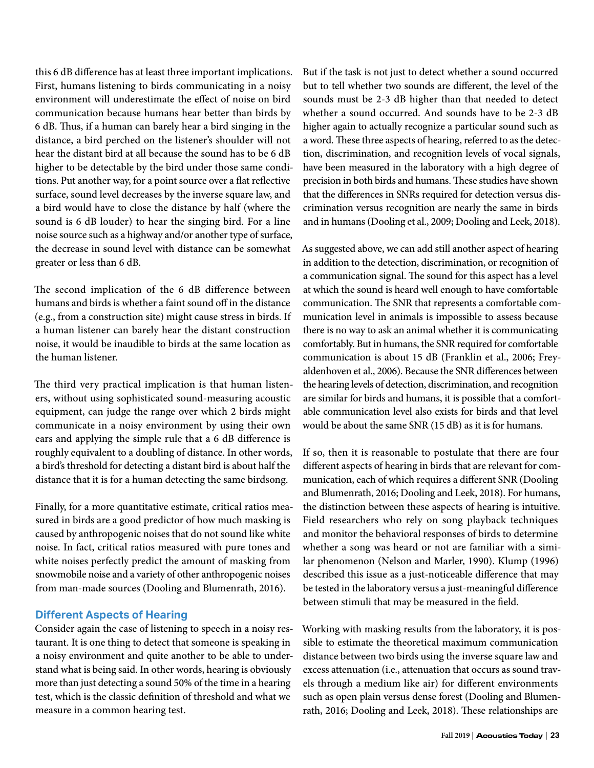this 6 dB difference has at least three important implications. First, humans listening to birds communicating in a noisy environment will underestimate the effect of noise on bird communication because humans hear better than birds by 6 dB. Thus, if a human can barely hear a bird singing in the distance, a bird perched on the listener's shoulder will not hear the distant bird at all because the sound has to be 6 dB higher to be detectable by the bird under those same conditions. Put another way, for a point source over a flat reflective surface, sound level decreases by the inverse square law, and a bird would have to close the distance by half (where the sound is 6 dB louder) to hear the singing bird. For a line noise source such as a highway and/or another type of surface, the decrease in sound level with distance can be somewhat greater or less than 6 dB.

The second implication of the 6 dB difference between humans and birds is whether a faint sound off in the distance (e.g., from a construction site) might cause stress in birds. If a human listener can barely hear the distant construction noise, it would be inaudible to birds at the same location as the human listener.

The third very practical implication is that human listeners, without using sophisticated sound-measuring acoustic equipment, can judge the range over which 2 birds might communicate in a noisy environment by using their own ears and applying the simple rule that a 6 dB difference is roughly equivalent to a doubling of distance. In other words, a bird's threshold for detecting a distant bird is about half the distance that it is for a human detecting the same birdsong.

Finally, for a more quantitative estimate, critical ratios measured in birds are a good predictor of how much masking is caused by anthropogenic noises that do not sound like white noise. In fact, critical ratios measured with pure tones and white noises perfectly predict the amount of masking from snowmobile noise and a variety of other anthropogenic noises from man-made sources (Dooling and Blumenrath, 2016).

#### **Different Aspects of Hearing**

Consider again the case of listening to speech in a noisy restaurant. It is one thing to detect that someone is speaking in a noisy environment and quite another to be able to understand what is being said. In other words, hearing is obviously more than just detecting a sound 50% of the time in a hearing test, which is the classic definition of threshold and what we measure in a common hearing test.

But if the task is not just to detect whether a sound occurred but to tell whether two sounds are different, the level of the sounds must be 2-3 dB higher than that needed to detect whether a sound occurred. And sounds have to be 2-3 dB higher again to actually recognize a particular sound such as a word. These three aspects of hearing, referred to as the detection, discrimination, and recognition levels of vocal signals, have been measured in the laboratory with a high degree of precision in both birds and humans. These studies have shown that the differences in SNRs required for detection versus discrimination versus recognition are nearly the same in birds and in humans (Dooling et al., 2009; Dooling and Leek, 2018).

As suggested above, we can add still another aspect of hearing in addition to the detection, discrimination, or recognition of a communication signal. The sound for this aspect has a level at which the sound is heard well enough to have comfortable communication. The SNR that represents a comfortable communication level in animals is impossible to assess because there is no way to ask an animal whether it is communicating comfortably. But in humans, the SNR required for comfortable communication is about 15 dB (Franklin et al., 2006; Freyaldenhoven et al., 2006). Because the SNR differences between the hearing levels of detection, discrimination, and recognition are similar for birds and humans, it is possible that a comfortable communication level also exists for birds and that level would be about the same SNR (15 dB) as it is for humans.

If so, then it is reasonable to postulate that there are four different aspects of hearing in birds that are relevant for communication, each of which requires a different SNR (Dooling and Blumenrath, 2016; Dooling and Leek, 2018). For humans, the distinction between these aspects of hearing is intuitive. Field researchers who rely on song playback techniques and monitor the behavioral responses of birds to determine whether a song was heard or not are familiar with a similar phenomenon (Nelson and Marler, 1990). Klump (1996) described this issue as a just-noticeable difference that may be tested in the laboratory versus a just-meaningful difference between stimuli that may be measured in the field.

Working with masking results from the laboratory, it is possible to estimate the theoretical maximum communication distance between two birds using the inverse square law and excess attenuation (i.e., attenuation that occurs as sound travels through a medium like air) for different environments such as open plain versus dense forest (Dooling and Blumenrath, 2016; Dooling and Leek, 2018). These relationships are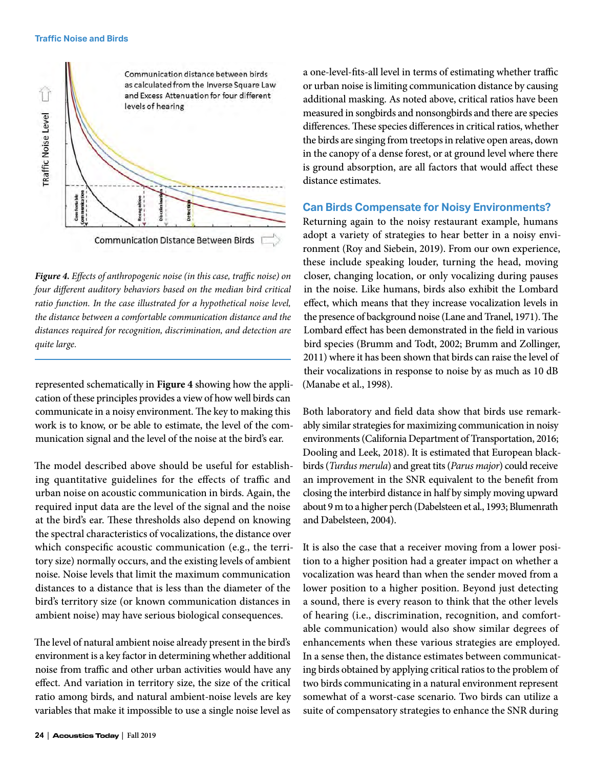

*Figure 4. Effects of anthropogenic noise (in this case, traffic noise) on four different auditory behaviors based on the median bird critical ratio function. In the case illustrated for a hypothetical noise level, the distance between a comfortable communication distance and the distances required for recognition, discrimination, and detection are quite large.* 

represented schematically in **Figure 4** showing how the application of these principles provides a view of how well birds can communicate in a noisy environment. The key to making this work is to know, or be able to estimate, the level of the communication signal and the level of the noise at the bird's ear.

The model described above should be useful for establishing quantitative guidelines for the effects of traffic and urban noise on acoustic communication in birds. Again, the required input data are the level of the signal and the noise at the bird's ear. These thresholds also depend on knowing the spectral characteristics of vocalizations, the distance over which conspecific acoustic communication (e.g., the territory size) normally occurs, and the existing levels of ambient noise. Noise levels that limit the maximum communication distances to a distance that is less than the diameter of the bird's territory size (or known communication distances in ambient noise) may have serious biological consequences.

The level of natural ambient noise already present in the bird's environment is a key factor in determining whether additional noise from traffic and other urban activities would have any effect. And variation in territory size, the size of the critical ratio among birds, and natural ambient-noise levels are key variables that make it impossible to use a single noise level as a one-level-fits-all level in terms of estimating whether traffic or urban noise is limiting communication distance by causing additional masking. As noted above, critical ratios have been measured in songbirds and nonsongbirds and there are species differences. These species differences in critical ratios, whether the birds are singing from treetops in relative open areas, down in the canopy of a dense forest, or at ground level where there is ground absorption, are all factors that would affect these distance estimates.

#### **Can Birds Compensate for Noisy Environments?**

Returning again to the noisy restaurant example, humans adopt a variety of strategies to hear better in a noisy environment (Roy and Siebein, 2019). From our own experience, these include speaking louder, turning the head, moving closer, changing location, or only vocalizing during pauses in the noise. Like humans, birds also exhibit the Lombard effect, which means that they increase vocalization levels in the presence of background noise (Lane and Tranel, 1971). The Lombard effect has been demonstrated in the field in various bird species (Brumm and Todt, 2002; Brumm and Zollinger, 2011) where it has been shown that birds can raise the level of their vocalizations in response to noise by as much as 10 dB (Manabe et al., 1998).

Both laboratory and field data show that birds use remarkably similar strategies for maximizing communication in noisy environments (California Department of Transportation, 2016; Dooling and Leek, 2018). It is estimated that European blackbirds (*Turdus merula*) and great tits (*Parus major*) could receive an improvement in the SNR equivalent to the benefit from closing the interbird distance in half by simply moving upward about 9 m to a higher perch (Dabelsteen et al., 1993; Blumenrath and Dabelsteen, 2004).

It is also the case that a receiver moving from a lower position to a higher position had a greater impact on whether a vocalization was heard than when the sender moved from a lower position to a higher position. Beyond just detecting a sound, there is every reason to think that the other levels of hearing (i.e., discrimination, recognition, and comfortable communication) would also show similar degrees of enhancements when these various strategies are employed. In a sense then, the distance estimates between communicating birds obtained by applying critical ratios to the problem of two birds communicating in a natural environment represent somewhat of a worst-case scenario. Two birds can utilize a suite of compensatory strategies to enhance the SNR during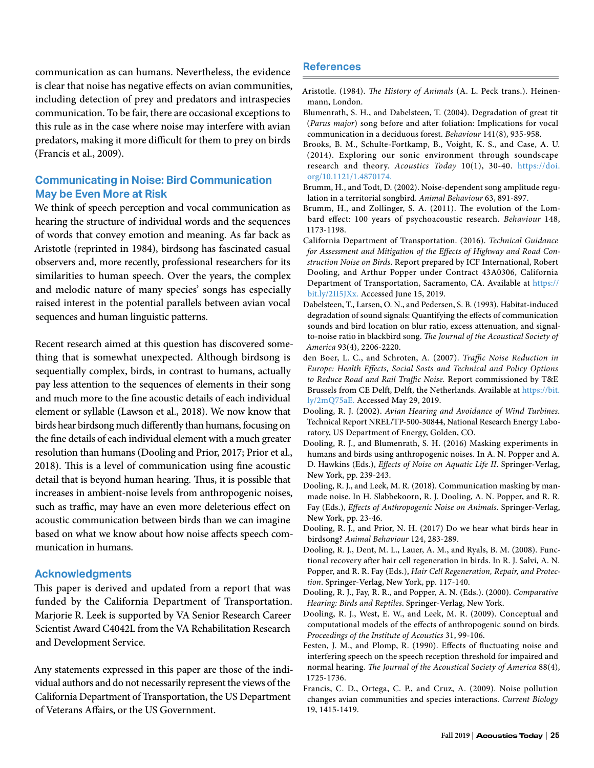communication as can humans. Nevertheless, the evidence is clear that noise has negative effects on avian communities, including detection of prey and predators and intraspecies communication. To be fair, there are occasional exceptions to this rule as in the case where noise may interfere with avian predators, making it more difficult for them to prey on birds (Francis et al., 2009).

# **Communicating in Noise: Bird Communication May be Even More at Risk**

We think of speech perception and vocal communication as hearing the structure of individual words and the sequences of words that convey emotion and meaning. As far back as Aristotle (reprinted in 1984), birdsong has fascinated casual observers and, more recently, professional researchers for its similarities to human speech. Over the years, the complex and melodic nature of many species' songs has especially raised interest in the potential parallels between avian vocal sequences and human linguistic patterns.

Recent research aimed at this question has discovered something that is somewhat unexpected. Although birdsong is sequentially complex, birds, in contrast to humans, actually pay less attention to the sequences of elements in their song and much more to the fine acoustic details of each individual element or syllable (Lawson et al., 2018). We now know that birds hear birdsong much differently than humans, focusing on the fine details of each individual element with a much greater resolution than humans (Dooling and Prior, 2017; Prior et al., 2018). This is a level of communication using fine acoustic detail that is beyond human hearing. Thus, it is possible that increases in ambient-noise levels from anthropogenic noises, such as traffic, may have an even more deleterious effect on acoustic communication between birds than we can imagine based on what we know about how noise affects speech communication in humans.

#### **Acknowledgments**

This paper is derived and updated from a report that was funded by the California Department of Transportation. Marjorie R. Leek is supported by VA Senior Research Career Scientist Award C4042L from the VA Rehabilitation Research and Development Service.

Any statements expressed in this paper are those of the individual authors and do not necessarily represent the views of the California Department of Transportation, the US Department of Veterans Affairs, or the US Government.

#### **References**

- Aristotle. (1984). *The History of Animals* (A. L. Peck trans.). Heinenmann, London.
- Blumenrath, S. H., and Dabelsteen, T. (2004). Degradation of great tit (*Parus major*) song before and after foliation: Implications for vocal communication in a deciduous forest. *Behaviour* 141(8), 935-958.
- Brooks, B. M., Schulte-Fortkamp, B., Voight, K. S., and Case, A. U. (2014). Exploring our sonic environment through soundscape research and theory. *Acoustics Today* 10(1), 30-40. [https://doi.](https://doi.org/10.1121/1.4870174) [org/10.1121/1.4870174.](https://doi.org/10.1121/1.4870174)
- Brumm, H., and Todt, D. (2002). Noise-dependent song amplitude regulation in a territorial songbird. *Animal Behaviour* 63, 891-897.
- Brumm, H., and Zollinger, S. A. (2011). The evolution of the Lombard effect: 100 years of psychoacoustic research. *Behaviour* 148, 1173-1198.
- California Department of Transportation. (2016). *Technical Guidance for Assessment and Mitigation of the Effects of Highway and Road Construction Noise on Birds*. Report prepared by ICF International, Robert Dooling, and Arthur Popper under Contract 43A0306, California Department of Transportation, Sacramento, CA. Available at [https://](https://bit.ly/2II5JXx) [bit.ly/2II5JXx.](https://bit.ly/2II5JXx) Accessed June 15, 2019.
- Dabelsteen, T., Larsen, O. N., and Pedersen, S. B. (1993). Habitat-induced degradation of sound signals: Quantifying the effects of communication sounds and bird location on blur ratio, excess attenuation, and signalto-noise ratio in blackbird song. *The Journal of the Acoustical Society of America* 93(4), 2206-2220.
- den Boer, L. C., and Schroten, A. (2007). *Traffic Noise Reduction in Europe: Health Effects, Social Sosts and Technical and Policy Options to Reduce Road and Rail Traffic Noise.* Report commissioned by T&E Brussels from CE Delft, Delft, the Netherlands. Available at [https://bit.](https://bit.ly/2mQ75aE) [ly/2mQ75aE. A](https://bit.ly/2mQ75aE)ccessed May 29, 2019.
- Dooling, R. J. (2002). *Avian Hearing and Avoidance of Wind Turbines*. Technical Report NREL/TP-500-30844, National Research Energy Laboratory, US Department of Energy, Golden, CO.
- Dooling, R. J., and Blumenrath, S. H. (2016) Masking experiments in humans and birds using anthropogenic noises. In A. N. Popper and A. D. Hawkins (Eds.), *Effects of Noise on Aquatic Life II*. Springer-Verlag, New York, pp. 239-243.
- Dooling, R. J., and Leek, M. R. (2018). Communication masking by manmade noise. In H. Slabbekoorn, R. J. Dooling, A. N. Popper, and R. R. Fay (Eds.), *Effects of Anthropogenic Noise on Animals*. Springer-Verlag, New York, pp. 23-46.
- Dooling, R. J., and Prior, N. H. (2017) Do we hear what birds hear in birdsong? *Animal Behaviour* 124, 283-289.
- Dooling, R. J., Dent, M. L., Lauer, A. M., and Ryals, B. M. (2008). Functional recovery after hair cell regeneration in birds. In R. J. Salvi, A. N. Popper, and R. R. Fay (Eds.), *Hair Cell Regeneration, Repair, and Protection*. Springer-Verlag, New York, pp. 117-140.
- Dooling, R. J., Fay, R. R., and Popper, A. N. (Eds.). (2000). *Comparative Hearing: Birds and Reptiles*. Springer-Verlag, New York.
- Dooling, R. J., West, E. W., and Leek, M. R. (2009). Conceptual and computational models of the effects of anthropogenic sound on birds. *Proceedings of the Institute of Acoustics* 31, 99-106.
- Festen, J. M., and Plomp, R. (1990). Effects of fluctuating noise and interfering speech on the speech reception threshold for impaired and normal hearing. *The Journal of the Acoustical Society of America* 88(4), 1725-1736.
- Francis, C. D., Ortega, C. P., and Cruz, A. (2009). Noise pollution changes avian communities and species interactions. *Current Biology* 19, 1415-1419.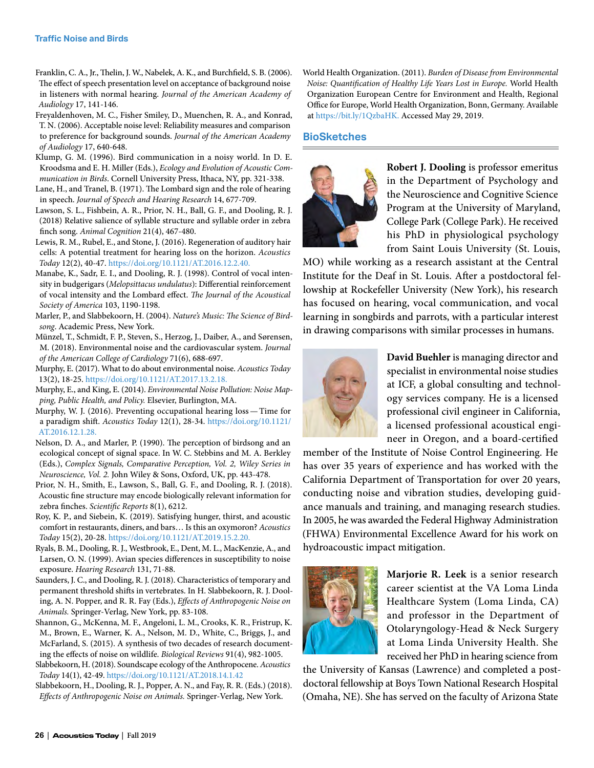- Franklin, C. A., Jr., Thelin, J. W., Nabelek, A. K., and Burchfield, S. B. (2006). The effect of speech presentation level on acceptance of background noise in listeners with normal hearing. *Journal of the American Academy of Audiology* 17, 141-146.
- Freyaldenhoven, M. C., Fisher Smiley, D., Muenchen, R. A., and Konrad, T. N. (2006). Acceptable noise level: Reliability measures and comparison to preference for background sounds. *Journal of the American Academy of Audiology* 17, 640-648.
- Klump, G. M. (1996). Bird communication in a noisy world. In D. E. Kroodsma and E. H. Miller (Eds.), *Ecology and Evolution of Acoustic Communication in Birds*. Cornell University Press, Ithaca, NY, pp. 321-338.
- Lane, H., and Tranel, B. (1971). The Lombard sign and the role of hearing in speech. *Journal of Speech and Hearing Research* 14, 677-709.
- Lawson, S. L., Fishbein, A. R., Prior, N. H., Ball, G. F., and Dooling, R. J. (2018) Relative salience of syllable structure and syllable order in zebra finch song. *Animal Cognition* 21(4), 467-480.
- Lewis, R. M., Rubel, E., and Stone, J. (2016). Regeneration of auditory hair cells: A potential treatment for hearing loss on the horizon. *Acoustics Today* 12(2), 40-47. [https://doi.org/10.1121/AT.2016.12.2.40.](https://doi.org/10.1121/AT.2016.12.2.40)
- Manabe, K., Sadr, E. I., and Dooling, R. J. (1998). Control of vocal intensity in budgerigars (*Melopsittacus undulatus*): Differential reinforcement of vocal intensity and the Lombard effect. *The Journal of the Acoustical Society of America* 103, 1190-1198.
- Marler, P., and Slabbekoorn, H. (2004). *Nature's Music: The Science of Birdsong*. Academic Press, New York.
- Münzel, T., Schmidt, F. P., Steven, S., Herzog, J., Daiber, A., and Sørensen, M. (2018). Environmental noise and the cardiovascular system. *Journal of the American College of Cardiology* 71(6), 688-697.
- Murphy, E. (2017). What to do about environmental noise. *Acoustics Today*  13(2), 18-25. [https://doi.org/10.1121/AT.2017.13.2.18.](https://doi.org/10.1121/AT.2017.13.2.18)
- Murphy, E., and King, E. (2014). *Environmental Noise Pollution: Noise Mapping, Public Health, and Policy.* Elsevier, Burlington, MA.

Murphy, W. J. (2016). Preventing occupational hearing loss—Time for a paradigm shift. *Acoustics Today* 12(1), 28-34. [https://doi.org/10.1121/](https://doi.org/10.1121/AT.2016.12.1.28) [AT.2016.12.1.28.](https://doi.org/10.1121/AT.2016.12.1.28)

- Nelson, D. A., and Marler, P. (1990). The perception of birdsong and an ecological concept of signal space. In W. C. Stebbins and M. A. Berkley (Eds.), *Complex Signals, Comparative Perception, Vol. 2, Wiley Series in Neuroscience, Vol. 2.* John Wiley & Sons, Oxford, UK, pp. 443-478.
- Prior, N. H., Smith, E., Lawson, S., Ball, G. F., and Dooling, R. J. (2018). Acoustic fine structure may encode biologically relevant information for zebra finches. *Scientific Reports* 8(1), 6212.
- Roy, K. P., and Siebein, K. (2019). Satisfying hunger, thirst, and acoustic comfort in restaurants, diners, and bars… Is this an oxymoron? *Acoustics Today* 15(2), 20-28. [https://doi.org/10.1121/AT.2019.15.2.20.](https://doi.org/10.1121/AT.2019.15.2.20)
- Ryals, B. M., Dooling, R. J., Westbrook, E., Dent, M. L., MacKenzie, A., and Larsen, O. N. (1999). Avian species differences in susceptibility to noise exposure. *Hearing Research* 131, 71-88.
- Saunders, J. C., and Dooling, R. J. (2018). Characteristics of temporary and permanent threshold shifts in vertebrates. In H. Slabbekoorn, R. J. Dooling, A. N. Popper, and R. R. Fay (Eds.), *Effects of Anthropogenic Noise on Animals.* Springer-Verlag, New York, pp. 83-108.
- Shannon, G., McKenna, M. F., Angeloni, L. M., Crooks, K. R., Fristrup, K. M., Brown, E., Warner, K. A., Nelson, M. D., White, C., Briggs, J., and McFarland, S. (2015). A synthesis of two decades of research documenting the effects of noise on wildlife. *Biological Reviews* 91(4), 982-1005.
- Slabbekoorn, H. (2018). Soundscape ecology of the Anthropocene. *Acoustics Today* 14(1), 42-49.<https://doi.org/10.1121/AT.2018.14.1.42>
- Slabbekoorn, H., Dooling, R. J., Popper, A. N., and Fay, R. R. (Eds.) (2018). *Effects of Anthropogenic Noise on Animals.* Springer-Verlag, New York.

World Health Organization. (2011). *Burden of Disease from Environmental Noise: Quantification of Healthy Life Years Lost in Europe.* World Health Organization European Centre for Environment and Health, Regional Office for Europe, World Health Organization, Bonn, Germany. Available at [https://bit.ly/1QzbaHK.](https://bit.ly/1QzbaHK) Accessed May 29, 2019.

#### **BioSketches**



**Robert J. Dooling** is professor emeritus in the Department of Psychology and the Neuroscience and Cognitive Science Program at the University of Maryland, College Park (College Park). He received his PhD in physiological psychology from Saint Louis University (St. Louis,

MO) while working as a research assistant at the Central Institute for the Deaf in St. Louis. After a postdoctoral fellowship at Rockefeller University (New York), his research has focused on hearing, vocal communication, and vocal learning in songbirds and parrots, with a particular interest in drawing comparisons with similar processes in humans.



**David Buehler** is managing director and specialist in environmental noise studies at ICF, a global consulting and technology services company. He is a licensed professional civil engineer in California, a licensed professional acoustical engineer in Oregon, and a board-certified

member of the Institute of Noise Control Engineering. He has over 35 years of experience and has worked with the California Department of Transportation for over 20 years, conducting noise and vibration studies, developing guidance manuals and training, and managing research studies. In 2005, he was awarded the Federal Highway Administration (FHWA) Environmental Excellence Award for his work on hydroacoustic impact mitigation.



**Marjorie R. Leek** is a senior research career scientist at the VA Loma Linda Healthcare System (Loma Linda, CA) and professor in the Department of Otolaryngology-Head & Neck Surgery at Loma Linda University Health. She received her PhD in hearing science from

the University of Kansas (Lawrence) and completed a postdoctoral fellowship at Boys Town National Research Hospital (Omaha, NE). She has served on the faculty of Arizona State